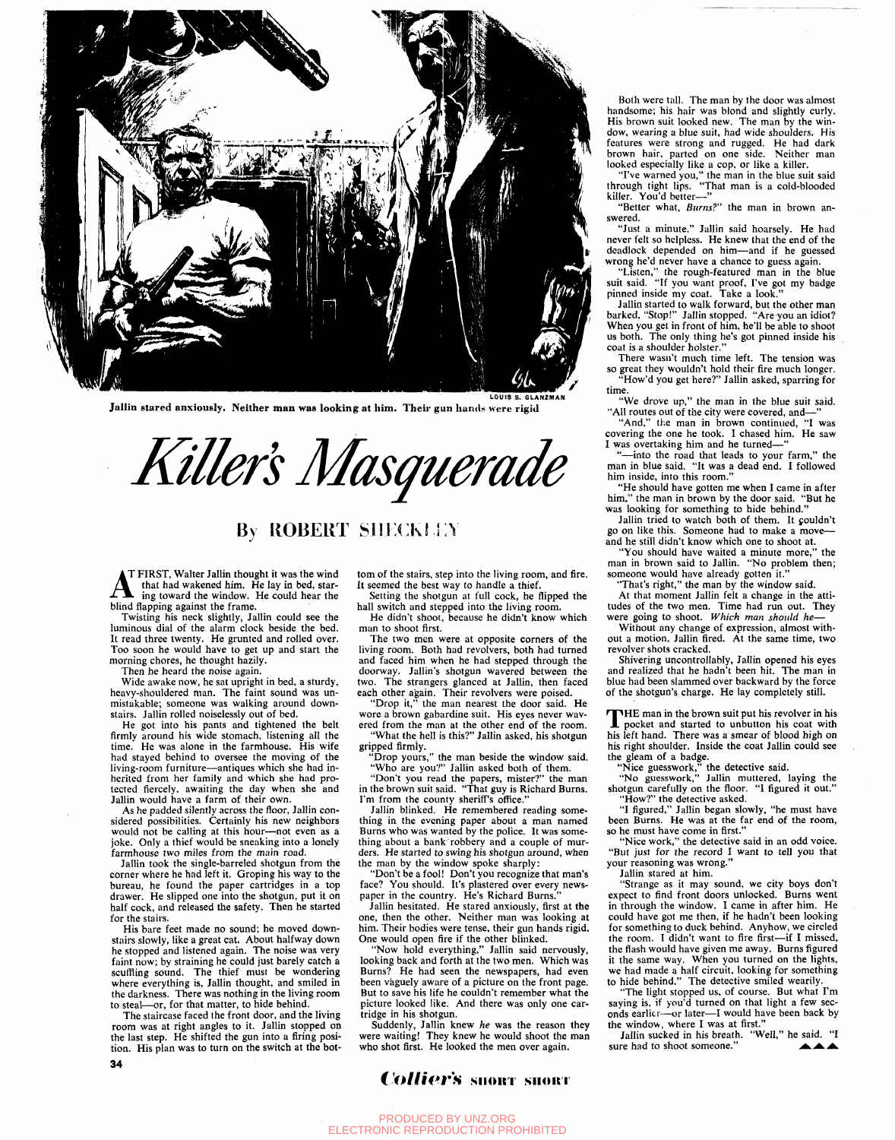

Jallin stared anxiously. Neither man was looking at him. Their gun hands were rigid

Killer's Masquerade

## **By ROBERT SIECKLEY**

T FIRST, Walter Jallin thought it was the wind that had wakened him. He lay in bed, staring toward the window. He could hear the blind flapping against the frame.

Twisting his neck slightly, Jallin could see the luminous dial of the alarm clock beside the bed. It read three twenty. He grunted and rolled over. Too soon he would have to get up and start the morning chores, he thought hazily.

Then he heard the noise again.

Wide awake now, he sat upright in bed, a sturdy, heavy-shouldered man. The faint sound was unmistakable; someone was walking around downstairs. Jallin rolled noiselessly out of bed.

He got into his pants and tightened the belt firmly around his wide stomach, listening all the time. He was alone in the farmhouse. His wife had stayed behind to oversee the moving of the living-room furniture—antiques which she had inherited from her family and which she had protected fiercely, awaiting the day when she and Jallin would have a farm of their own.

As he padded silently across the floor, Jallin considered possibilities. Certainly his new neighbors would not be calling at this hour—not even as a joke. Only a thief would be sneaking into a lonely farmhouse two miles from the main road.

Jallin took the single-barreled shotgun from the corner where he had left it. Groping his way to the bureau, he found the paper cartridges in a top drawer. He slipped one into the shotgun, put it on half cock, and released the safety. Then he started for the stairs.

His bare feet made no sound; he moved downstairs slowly, like a great cat. About halfway down he stopped and listened again. The noise was very faint now; by straining he could just barely catch a scuffling sound. The thief must be wondering where everything is, Jallin thought, and smiled in the darkness. There was nothing in the living room to steal—or, for that matter, to hide behind.

The staircase faced the front door, and the living room was at right angles to it. Jallin stopped on the last step. He shifted the gun into a firing position. His plan was to turn on the switch at the bot-**34** 

tom of the stairs, step into the living room, and fire. It seemed the best way to handle a thief.

Setting the shotgun at full cock, he flipped the hall switch and stepped into the living room.

He didn't shoot, because he didn't know which man to shoot first.

The two men were at opposite corners of the living room. Both had revolvers, both had turned and faced him when he had stepped through the doorway. Jallin's shotgun wavered between the two. The strangers glanced at Jallin, then faced each other again. Their revolvers were poised.

"Drop it," the man nearest the door said. He wore a brown gabardine suit. His eyes never wavered from the man at the other end of the room.

"What the hell is this?" Jallin asked, his shotgun gripped firmly.

"Drop yours," the man beside the window said.

"Who are you?" Jallin asked both of them. "Don't you read the papers, mister?" the man<br>the harmon suit said, if that must Disk ad Dange in the brown suit said. "That guy is Richard Burns."

I'm from the county sheriff's office." Jallin blinked. He remembered reading something in the evening paper about a man named Burns who was wanted by the police. It was something about a bank' robbery and a couple of murders. He started to swing his shotgun around, when the man by the window spoke sharply:

"Don't be a fool! Don't you recognize that man's face? You should. It's plastered over every newspaper in the country. He's Richard Burns."

Jallin hesitated. He stared anxiously, first at the one, then the other. Neither man was looking at him. Their bodies were tense, their gun hands rigid. One would open fire if the other blinked.

"Now hold everything," Jallin said nervously, looking back and forth at the two men. Which was Burns? He had seen the newspapers, had even been vaguely aware of a picture on the front page. But to save his life he couldn't remember what the picture looked like. And there was only one cartridge in his shotgun.

Suddenly, Jallin knew *he* was the reason they were waiting! They knew he would shoot the man who shot first. He looked the men over again.

## *Collier's* short short

brown hair, parted on one side. Neither man looked especially like a cop, or like a killer. "I've warned you," the man in the blue suit said through tight lips. "That man is a cold-blooded killer. You'd better—" "Better what. *Burns?"* the man in brown answered. "Just a minute," Jallin said hoarsely. He had never felt so helpless. He knew that the end of the deadlock depended on him—and if he guessed

wrong he'd never have a chance to guess again. "Listen," the rough-featured man in the blue suit said. "If you want proof, I've got my badge pinned inside my coat. Take a look."

Both were tall. The man by the door was almost handsome; his hair was blond and slightly curly. His brown suit looked new. The man by the window, wearing a blue suit, had wide shoulders. His features were strong and rugged. He had dark

Jallin started to walk forward, but the other man barked, "Stop!" Jallin stopped. "Are you an idiot? When you get in front of him, he'll be able to shoot us both. The only thing he's got pinned inside his coat is a shoulder holster."

There wasn't much time left. The tension was so great they wouldn't hold their fire much longer. How'd you get here?" Jallin asked, sparring for time.

"We drove up," the man in the blue suit said. "All routes out of the city were covered, and—"

"And," the man in brown continued, "I was covering the one he took. I chased him. He saw I was overtaking him and he turned—"

"—into the road that leads to your farm," the man in blue said. "It was a dead end. I followed him inside, into this room."

"He should have gotten me when I came in after him." the man in brown by the door said. "But he was looking for something to hide behind."

Jallin tried to watch both of them. It couldn't go on like this. Someone had to make a moveand he still didn't know which one to shoot at.

"You should have waited a minute more," the man in brown said to Jallin. "No problem then; someone would have already gotten it."

"That's right," the man by the window said.

At that moment Jallin felt a change in the attitudes of the two men. Time had run out. They were going to shoot. *Which man should he*—

Without any change of expression, almost without a motion, Jallin fired. At the same time, two revolver shots cracked.

Shivering uncontrollably, Jallin opened his eyes and realized that he hadn't been hit. The man in blue had been slammed over backward by the force of the shotgun's charge. He lay completely still.

THE man in the brown suit put his revolver in his<br>pocket and started to unbutton his coat with<br>his loft hand. There we a smoot of blood high on HE man in the brown suit put his revolver in his his left hand. There was a smear of blood high on his right shoulder. Inside the coat Jallin could see the gleam of a badge.

"Nice guesswork," the detective said.

"No guesswork," Jallin muttered, laying the shotgun carefully on the floor. "I figured it out." "How?" the detective asked.

"I figured," Jallin began slowly, "he must have been Burns. He was at the far end of the room, so he must have come in first."

"Nice work," the detective said in an odd voice. "But just for the record I want to tell you that your reasoning was wrong."

Jallin stared at him.

"Strange as it may sound, we city boys don't expect to find front doors unlocked. Burns went in through the window. I came in after him. He could have got me then, if he hadn't been looking for something to duck behind. Anyhow, we circled the room. I didn't want to fire first—if I missed, the flash would have given me away. Burns figured it the same way. When you turned on the lights, we had made a half circuit, looking for something to hide behind." The detective smiled wearily.

"The light stopped us, of course. But what I'm saying is, if you'd turned on that light a few seconds earlier—or later—I would have been back by the window, where I was at first."

Jallin sucked in his breath. "Well," he said. "I sure had to shoot someone."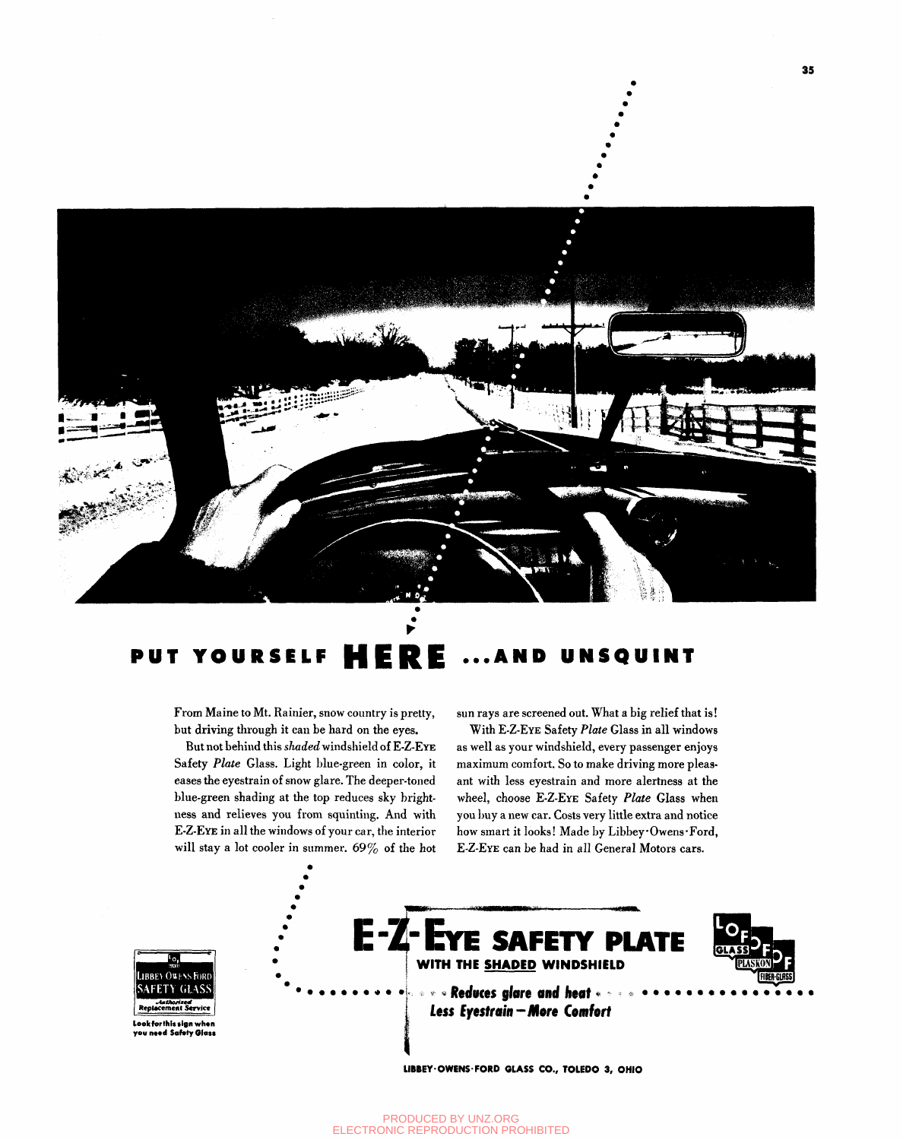

## **PUT YOURSELF** UNSQUINT E A N D

From Maine to Mt. Rainier, snow country is pretty, but driving through it can be hard on the eyes.

But not behind this shaded windshield of E-Z-EYE Safety Plate Glass. Light blue-green in color, it eases the eyestrain of snow glare. The deeper-toned blue-green shading at the top reduces sky brightness and relieves you from squinting. And with E-Z-EYE in all the windows of your car, the interior will stay a lot cooler in summer. 69% of the hot

sun rays are screened out. What a big relief that is!

With E-Z-EYE Safety Plate Glass in all windows as well as your windshield, every passenger enjoys maximum comfort. So to make driving more pleasant with less eyestrain and more alertness at the wheel, choose E-Z-EYE Safety Plate Glass when you buy a new car. Costs very little extra and notice how smart it looks! Made by Libbey.Owens.Ford, E-Z-EYE can be had in all General Motors cars.



Look for this sign when vou need Safety Giass



**Less Eyestrain - More Comfort** 

LIBBEY·OWENS·FORD GLASS CO., TOLEDO 3, OHIO